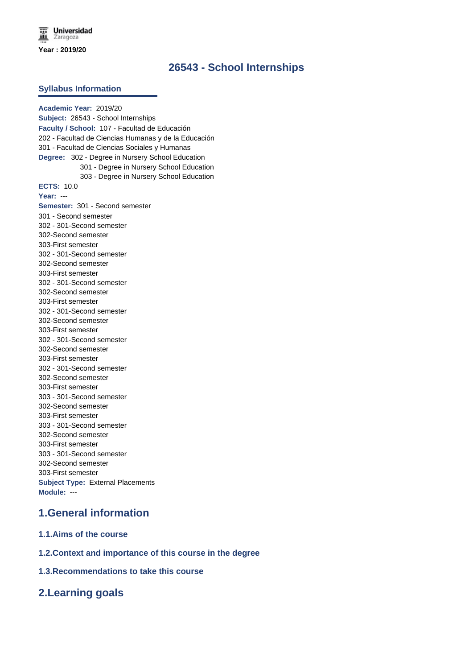# **26543 - School Internships**

#### **Syllabus Information**

**Academic Year:** 2019/20 **Subject:** 26543 - School Internships **Faculty / School:** 107 - Facultad de Educación 202 - Facultad de Ciencias Humanas y de la Educación 301 - Facultad de Ciencias Sociales y Humanas **Degree:** 302 - Degree in Nursery School Education 301 - Degree in Nursery School Education 303 - Degree in Nursery School Education **ECTS:** 10.0 **Year:** --- **Semester:** 301 - Second semester 301 - Second semester 302 - 301-Second semester 302-Second semester 303-First semester 302 - 301-Second semester 302-Second semester 303-First semester 302 - 301-Second semester 302-Second semester 303-First semester 302 - 301-Second semester 302-Second semester 303-First semester 302 - 301-Second semester 302-Second semester 303-First semester 302 - 301-Second semester 302-Second semester 303-First semester 303 - 301-Second semester 302-Second semester 303-First semester 303 - 301-Second semester 302-Second semester 303-First semester 303 - 301-Second semester 302-Second semester 303-First semester **Subject Type:** External Placements **Module:** ---

## **1.General information**

- **1.1.Aims of the course**
- **1.2.Context and importance of this course in the degree**
- **1.3.Recommendations to take this course**

## **2.Learning goals**